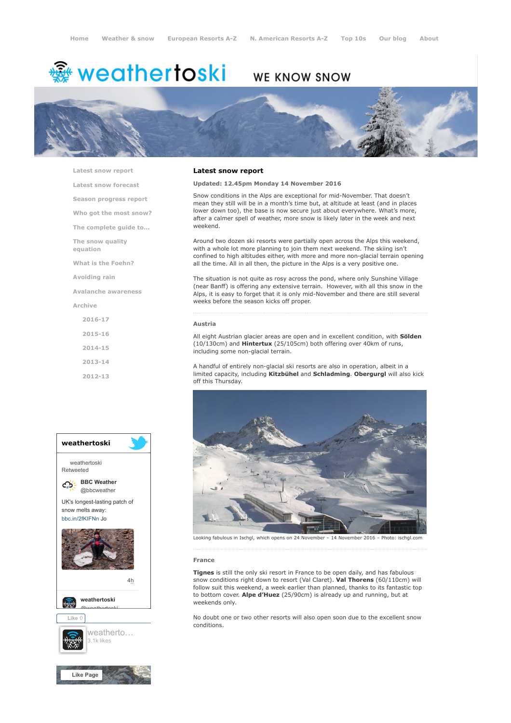# **※ weathertoski**

## WE KNOW SNOW



[Latest snow report](https://www.weathertoski.co.uk/weather-snow/latest-snow-report/)

[Latest snow forecast](https://www.weathertoski.co.uk/weather-snow/latest-snow-forecast/)

[Season progress report](https://www.weathertoski.co.uk/weather-snow/season-progress-report/)

[Who got the most snow?](https://www.weathertoski.co.uk/weather-snow/who-got-the-most-snow/)

[The complete guide to...](https://www.weathertoski.co.uk/weather-snow/the-complete-guide-to/)

[The snow quality](https://www.weathertoski.co.uk/weather-snow/the-snow-quality-equation/)

[What is the Foehn?](https://www.weathertoski.co.uk/weather-snow/what-is-the-foehn/)

[Avoiding rain](https://www.weathertoski.co.uk/weather-snow/avoiding-rain/)

equation

[Avalanche awareness](https://www.weathertoski.co.uk/weather-snow/avalanche-awareness/)

[Archive](https://www.weathertoski.co.uk/weather-snow/archive/)

[2016-17](https://www.weathertoski.co.uk/weather-snow/archive/2016-17/) [2015-16](https://www.weathertoski.co.uk/weather-snow/archive/2015-16/) [2014-15](https://www.weathertoski.co.uk/weather-snow/archive/2014-15/) [2013-14](https://www.weathertoski.co.uk/weather-snow/archive/2013-14/)

[2012-13](https://www.weathertoski.co.uk/weather-snow/archive/2012-13/)



#### Latest snow report

Updated: 12.45pm Monday 14 November 2016

Snow conditions in the Alps are exceptional for mid-November. That doesn't mean they still will be in a month's time but, at altitude at least (and in places lower down too), the base is now secure just about everywhere. What's more, after a calmer spell of weather, more snow is likely later in the week and next weekend.

Around two dozen ski resorts were partially open across the Alps this weekend, with a whole lot more planning to join them next weekend. The skiing isn't confined to high altitudes either, with more and more non-glacial terrain opening all the time. All in all then, the picture in the Alps is a very positive one.

The situation is not quite as rosy across the pond, where only Sunshine Village (near Banff) is offering any extensive terrain. However, with all this snow in the Alps, it is easy to forget that it is only mid-November and there are still several weeks before the season kicks off proper.

#### Austria

All eight Austrian glacier areas are open and in excellent condition, with Sölden (10/130cm) and Hintertux (25/105cm) both offering over 40km of runs, including some non-glacial terrain.

A handful of entirely non-glacial ski resorts are also in operation, albeit in a limited capacity, including Kitzbühel and Schladming. Obergurgl will also kick off this Thursday.



Looking fabulous in Ischgl, which opens on 24 November – 14 November 2016 – Photo: ischgl.com

#### France

Tignes is still the only ski resort in France to be open daily, and has fabulous snow conditions right down to resort (Val Claret). Val Thorens (60/110cm) will follow suit this weekend, a week earlier than planned, thanks to its fantastic top to bottom cover. Alpe d'Huez (25/90cm) is already up and running, but at weekends only.

No doubt one or two other resorts will also open soon due to the excellent snow conditions.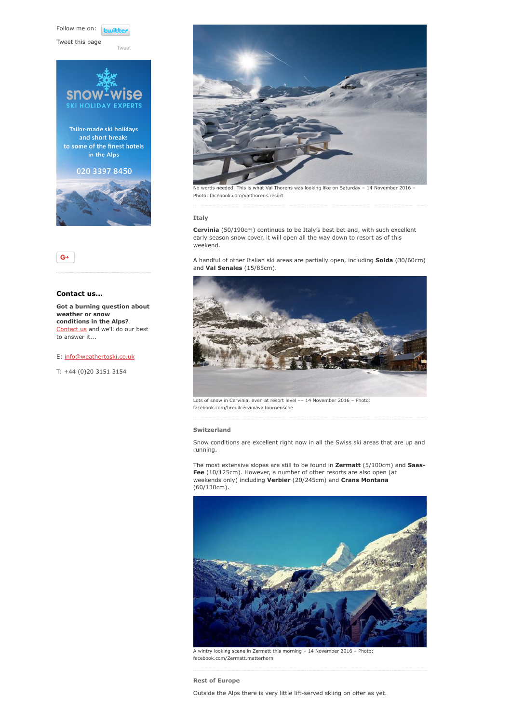Follow me on: **Lwitter** 

[Tweet](https://twitter.com/intent/tweet?original_referer=https%3A%2F%2Fwww.weathertoski.co.uk%2Fweather-snow%2Farchive%2Fsnow-report-14-11-2016%2F&ref_src=twsrc%5Etfw&text=Weather%20to%20ski%20-%20Snow%20report%20-%2014%20November%202016&tw_p=tweetbutton&url=https%3A%2F%2Fwww.weathertoski.co.uk%2Fweather-snow%2Farchive%2Fsnow-report-14-11-2016%2F)

Tweet this page





### Contact us...

Got a burning question about weather or snow conditions in the Alps? [Contact us](https://www.weathertoski.co.uk/about-1/contact-us/) and we'll do our best to answer it...

#### E: [info@weathertoski.co.uk](mailto:fraser@weathertoski.co.uk)

T: +44 (0)20 3151 3154



No words needed! This is what Val Thorens was looking like on Saturday – 14 November 2016 – Photo: facebook.com/valthorens.resort

#### Italy

Cervinia (50/190cm) continues to be Italy's best bet and, with such excellent early season snow cover, it will open all the way down to resort as of this weekend.

A handful of other Italian ski areas are partially open, including Solda (30/60cm) and Val Senales (15/85cm).



Lots of snow in Cervinia, even at resort level –– 14 November 2016 – Photo: facebook.com/breuilcerviniavaltournensche

#### Switzerland

Snow conditions are excellent right now in all the Swiss ski areas that are up and running.

The most extensive slopes are still to be found in Zermatt (5/100cm) and Saas-Fee (10/125cm). However, a number of other resorts are also open (at weekends only) including Verbier (20/245cm) and Crans Montana (60/130cm).



A wintry looking scene in Zermatt this morning – 14 November 2016 – Photo: facebook.com/Zermatt.matterhorn

Rest of Europe

Outside the Alps there is very little lift-served skiing on offer as yet.